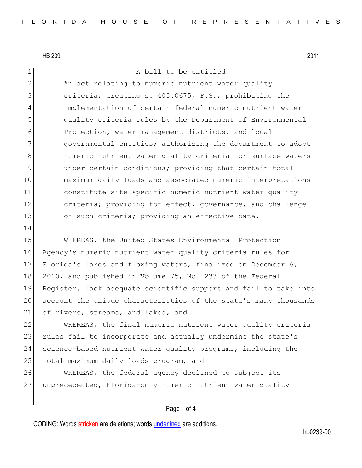14

1 A bill to be entitled

2 An act relating to numeric nutrient water quality criteria; creating s. 403.0675, F.S.; prohibiting the implementation of certain federal numeric nutrient water quality criteria rules by the Department of Environmental Protection, water management districts, and local **governmental entities;** authorizing the department to adopt **Increw** numeric nutrient water quality criteria for surface waters 9 9 under certain conditions; providing that certain total maximum daily loads and associated numeric interpretations constitute site specific numeric nutrient water quality 12 criteria; providing for effect, governance, and challenge 13 of such criteria; providing an effective date.

 WHEREAS, the United States Environmental Protection Agency's numeric nutrient water quality criteria rules for Florida's lakes and flowing waters, finalized on December 6, 18 2010, and published in Volume 75, No. 233 of the Federal Register, lack adequate scientific support and fail to take into account the unique characteristics of the state's many thousands 21 of rivers, streams, and lakes, and

22 WHEREAS, the final numeric nutrient water quality criteria 23 rules fail to incorporate and actually undermine the state's 24 science-based nutrient water quality programs, including the 25 total maximum daily loads program, and

26 WHEREAS, the federal agency declined to subject its 27 unprecedented, Florida-only numeric nutrient water quality

### Page 1 of 4

CODING: Words stricken are deletions; words underlined are additions.

hb0239-00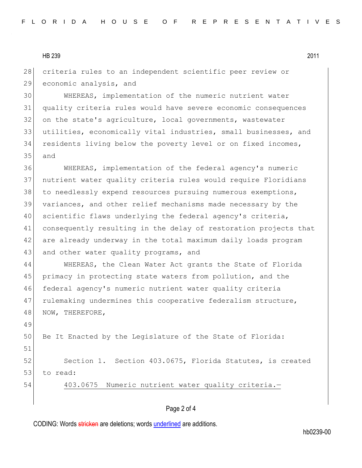28 criteria rules to an independent scientific peer review or 29 economic analysis, and

 WHEREAS, implementation of the numeric nutrient water quality criteria rules would have severe economic consequences on the state's agriculture, local governments, wastewater utilities, economically vital industries, small businesses, and residents living below the poverty level or on fixed incomes, 35 and

36 WHEREAS, implementation of the federal agency's numeric 37 nutrient water quality criteria rules would require Floridians 38 to needlessly expend resources pursuing numerous exemptions, 39 variances, and other relief mechanisms made necessary by the 40 scientific flaws underlying the federal agency's criteria, 41 consequently resulting in the delay of restoration projects that 42 are already underway in the total maximum daily loads program 43 and other water quality programs, and

44 WHEREAS, the Clean Water Act grants the State of Florida 45 primacy in protecting state waters from pollution, and the 46 federal agency's numeric nutrient water quality criteria 47 rulemaking undermines this cooperative federalism structure, 48 NOW, THEREFORE,

50 Be It Enacted by the Legislature of the State of Florida: 51 52 Section 1. Section 403.0675, Florida Statutes, is created 53 to read:

49

54 403.0675 Numeric nutrient water quality criteria.-

# Page 2 of 4

CODING: Words stricken are deletions; words underlined are additions.

hb0239-00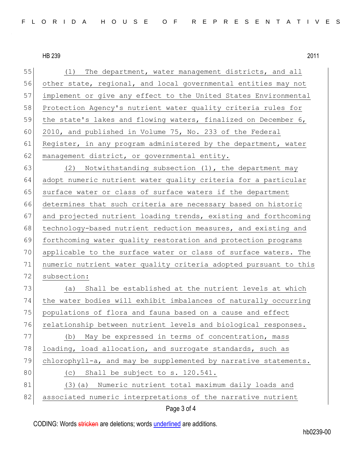55 (1) The department, water management districts, and all 56 other state, regional, and local governmental entities may not 57 implement or give any effect to the United States Environmental 58 Protection Agency's nutrient water quality criteria rules for 59 the state's lakes and flowing waters, finalized on December 6, 60 2010, and published in Volume 75, No. 233 of the Federal 61 Register, in any program administered by the department, water 62 management district, or governmental entity. 63 (2) Notwithstanding subsection  $(1)$ , the department may 64 adopt numeric nutrient water quality criteria for a particular 65 surface water or class of surface waters if the department 66 determines that such criteria are necessary based on historic 67 and projected nutrient loading trends, existing and forthcoming 68 technology-based nutrient reduction measures, and existing and 69 forthcoming water quality restoration and protection programs 70 applicable to the surface water or class of surface waters. The 71 numeric nutrient water quality criteria adopted pursuant to this 72 subsection: 73 (a) Shall be established at the nutrient levels at which 74 the water bodies will exhibit imbalances of naturally occurring 75 populations of flora and fauna based on a cause and effect 76 relationship between nutrient levels and biological responses. 77 (b) May be expressed in terms of concentration, mass 78 loading, load allocation, and surrogate standards, such as 79 chlorophyll-a, and may be supplemented by narrative statements. 80 (c) Shall be subject to s. 120.541. 81 (3)(a) Numeric nutrient total maximum daily loads and 82 associated numeric interpretations of the narrative nutrient

### Page 3 of 4

CODING: Words stricken are deletions; words underlined are additions.